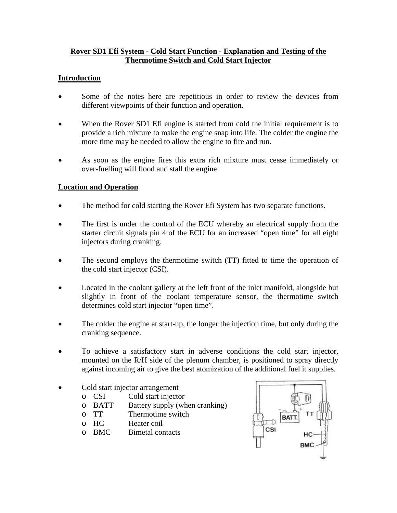### **Rover SD1 Efi System - Cold Start Function - Explanation and Testing of the Thermotime Switch and Cold Start Injector**

#### **Introduction**

- Some of the notes here are repetitious in order to review the devices from different viewpoints of their function and operation.
- When the Rover SD1 Efi engine is started from cold the initial requirement is to provide a rich mixture to make the engine snap into life. The colder the engine the more time may be needed to allow the engine to fire and run.
- As soon as the engine fires this extra rich mixture must cease immediately or over-fuelling will flood and stall the engine.

## **Location and Operation**

- The method for cold starting the Rover Efi System has two separate functions.
- The first is under the control of the ECU whereby an electrical supply from the starter circuit signals pin 4 of the ECU for an increased "open time" for all eight injectors during cranking.
- The second employs the thermotime switch (TT) fitted to time the operation of the cold start injector (CSI).
- Located in the coolant gallery at the left front of the inlet manifold, alongside but slightly in front of the coolant temperature sensor, the thermotime switch determines cold start injector "open time".
- The colder the engine at start-up, the longer the injection time, but only during the cranking sequence.
- To achieve a satisfactory start in adverse conditions the cold start injector, mounted on the R/H side of the plenum chamber, is positioned to spray directly against incoming air to give the best atomization of the additional fuel it supplies.
- Cold start injector arrangement
	- o CSI Cold start injector
	- o BATT Battery supply (when cranking)
	- o TT Thermotime switch
	- o HC Heater coil
	- o BMC Bimetal contacts

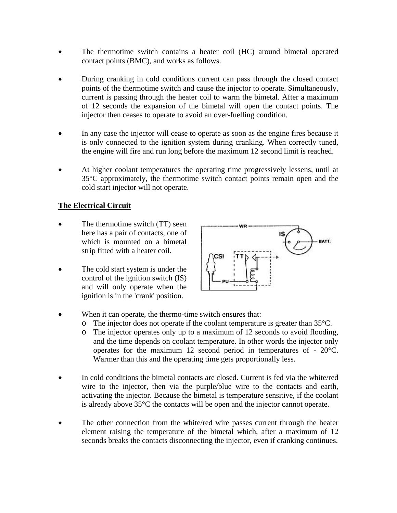- The thermotime switch contains a heater coil (HC) around bimetal operated contact points (BMC), and works as follows.
- During cranking in cold conditions current can pass through the closed contact points of the thermotime switch and cause the injector to operate. Simultaneously, current is passing through the heater coil to warm the bimetal. After a maximum of 12 seconds the expansion of the bimetal will open the contact points. The injector then ceases to operate to avoid an over-fuelling condition.
- In any case the injector will cease to operate as soon as the engine fires because it is only connected to the ignition system during cranking. When correctly tuned, the engine will fire and run long before the maximum 12 second limit is reached.
- At higher coolant temperatures the operating time progressively lessens, until at 35°C approximately, the thermotime switch contact points remain open and the cold start injector will not operate.

## **The Electrical Circuit**

- The thermotime switch (TT) seen here has a pair of contacts, one of which is mounted on a bimetal strip fitted with a heater coil.
- The cold start system is under the • control of the ignition switch (IS) and will only operate when the ignition is in the 'crank' position.



- When it can operate, the thermo-time switch ensures that:
	- $\circ$  The injector does not operate if the coolant temperature is greater than 35 $\degree$ C.
	- , o The injector operates only up to a maximum of 12 seconds to avoid flooding and the time depends on coolant temperature. In other words the injector only operates for the maximum 12 second period in temperatures of - 20°C. Warmer than this and the operating time gets proportionally less.
- In cold conditions the bimetal contacts are closed. Current is fed via the white/red • wire to the injector, then via the purple/blue wire to the contacts and earth, activating the injector. Because the bimetal is temperature sensitive, if the coolant is already above 35°C the contacts will be open and the injector cannot operate.
- The other connection from the white/red wire passes current through the heater • element raising the temperature of the bimetal which, after a maximum of 12 seconds breaks the contacts disconnecting the injector, even if cranking continues.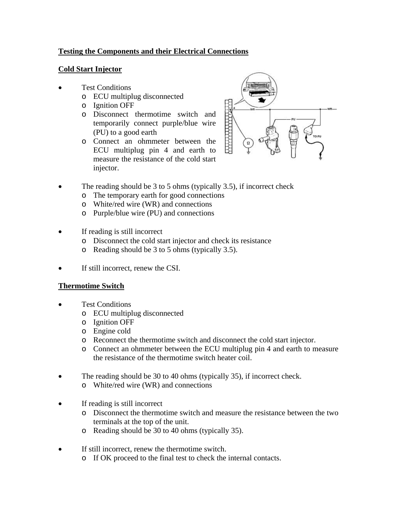# **Testing the Components and their Electrical Connections**

### **Cold Start Injector**

- Test Conditions •
	- o ECU multiplug disconnected
	- o Ignition OFF
	- o Disconnect thermotime switch and temporarily connect purple/blue wire (PU) to a good earth
	- o Connect an ohmmeter between the ECU multiplug pin 4 and earth to measure the resistance of the cold start injector.



- The reading should be 3 to 5 ohms (typically 3.5), if incorrect check •
	- o The temporary earth for good connections
	- o White/red wire (WR) and connections
	- o Purple/blue wire (PU) and connections
- If reading is still incorrect
	- o Disconnect the cold start injector and check its resistance
	- o Reading should be 3 to 5 ohms (typically 3.5).
- If still incorrect, renew the CSI.

## **Thermotime Switch**

- Test Conditions •
	- o ECU multiplug disconnected
	- o Ignition OFF
	- o Engine cold
	- o Reconnect the thermotime switch and disconnect the cold start injector.
	- o Connect an ohmmeter between the ECU multiplug pin 4 and earth to measure the resistance of the thermotime switch heater coil.
- The reading should be 30 to 40 ohms (typically 35), if incorrect check. •
	- o White/red wire (WR) and connections
- If reading is still incorrect
	- o Disconnect the thermotime switch and measure the resistance between the two terminals at the top of the unit.
	- $\circ$  Reading should be 30 to 40 ohms (typically 35).
- If still incorrect, renew the thermotime switch.
	- o If OK proceed to the final test to check the internal contacts.